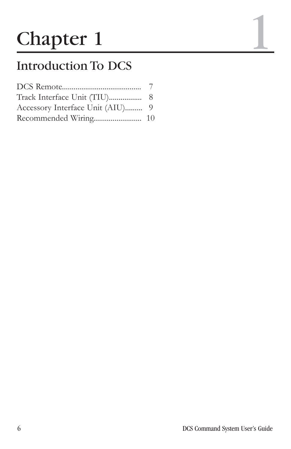# **Chapter 1**

## Introduction To DCS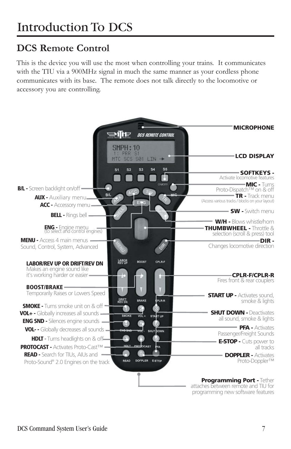#### **DCS Remote Control**

This is the device you will use the most when controlling your trains. It communicates with the TIU via a 900MHz signal in much the same manner as your cordless phone communicates with its base. The remote does not talk directly to the locomotive or accessory you are controlling.



attaches between remote and TIU for programming new software features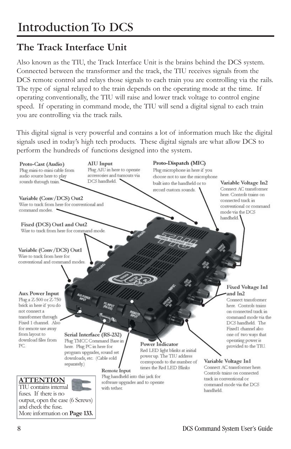#### **The Track Interface Unit**

Also known as the TIU, the Track Interface Unit is the brains behind the DCS system. Connected between the transformer and the track, the TIU receives signals from the DCS remote control and relays those signals to each train you are controlling via the rails. The type of signal relayed to the train depends on the operating mode at the time. If operating conventionally, the TIU will raise and lower track voltage to control engine speed. If operating in command mode, the TIU will send a digital signal to each train you are controlling via the track rails.

This digital signal is very powerful and contains a lot of information much like the digital signals used in today's high tech products. These digital signals are what allow DCS to perform the hundreds of functions designed into the system.

#### AIU Input Proto-Dispatch (MIC) Proto-Cast (Audio) Plug AIU in here to operate Plug mini-to-mini cable from Plug microphone in here if you audio source here to play accessories and turnouts via choose not to use the microphone sounds through train. DCS handheld. built into the handheld or to Variable Voltage In2 record custom sounds. Connect AC transformer here. Controls trains on Variable (Conv/DCS) Out2 connected track in Wire to track from here for conventional and conventional or command command modes. mode via the DCS handheld. Fixed (DCS) Out1 and Out2 Wire to track from here for command mode. Variable (Conv/DCS) Out1 Wire to track from here for conventional and command modes. **Fixed Voltage In1 Aux Power Input** and In2 Plug a Z-500 or Z-750 Connect transformer brick in here if you do here. Controls trains not connect a on connected track in transformer through command mode via the DCS handheld. The Fixed 1 channel. Also for remote use away Fixed1 channel also from layout to Serial Interface (RS-232) one of two ways that download files from Plug TMCC Command Base in operating power is **Power Indicator** PC. here. Plug PC in here for provided to the TIU. Red LED light blinks at initial program upgrades, sound set power up. The TIU address downloads, etc. (Cable sold corresponds to the number of Variable Voltage In1 separately.) times the Red LED Blinks Connect AC transformer here. Remote Input Controls trains on connected **ATTENTION**

TIU contains internal fuses. If there is no output, open the case (6 Screws) and check the fuse. More information on **Page 133.** Plug handheld into this jack for software upgrades and to operate with tether.

track in conventional or

handheld.

command mode via the DCS

DCS Command System User's Guide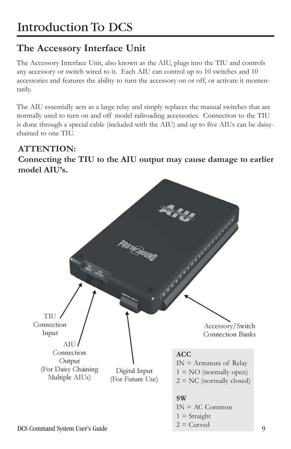#### **The Accessory Interface Unit**

The Accessory Interface Unit, also known as the AIU, plugs into the TIU and controls any accessory or switch wired to it. Each AIU can control up to 10 switches and 10 accessories and features the ability to turn the accessory on or off, or activate it momentarily.

The AIU essentially acts as a large relay and simply replaces the manual switches that are normally used to turn on and off model railroading accessories. Connection to the TIU is done through a special cable (included with the AIU) and up to five AIUs can be daisychained to one TIU.

#### **ATTENTION:**

**Connecting the TIU to the AIU output may cause damage to earlier model AIU's.**



 $\overline{Q}$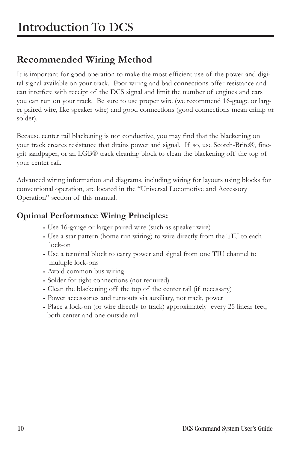#### **Recommended Wiring Method**

It is important for good operation to make the most efficient use of the power and digital signal available on your track. Poor wiring and bad connections offer resistance and can interfere with receipt of the DCS signal and limit the number of engines and cars you can run on your track. Be sure to use proper wire (we recommend 16-gauge or larger paired wire, like speaker wire) and good connections (good connections mean crimp or solder).

Because center rail blackening is not conductive, you may find that the blackening on your track creates resistance that drains power and signal. If so, use Scotch-Brite®, finegrit sandpaper, or an LGB® track cleaning block to clean the blackening off the top of your center rail.

Advanced wiring information and diagrams, including wiring for layouts using blocks for conventional operation, are located in the "Universal Locomotive and Accessory Operation" section of this manual.

#### **Optimal Performance Wiring Principles:**

- Use 16-gauge or larger paired wire (such as speaker wire)
- Use a star pattern (home run wiring) to wire directly from the TIU to each lock-on
- Use a terminal block to carry power and signal from one TIU channel to multiple lock-ons
- Avoid common bus wiring
- Solder for tight connections (not required)
- Clean the blackening off the top of the center rail (if necessary)
- Power accessories and turnouts via auxiliary, not track, power
- Place a lock-on (or wire directly to track) approximately every 25 linear feet, both center and one outside rail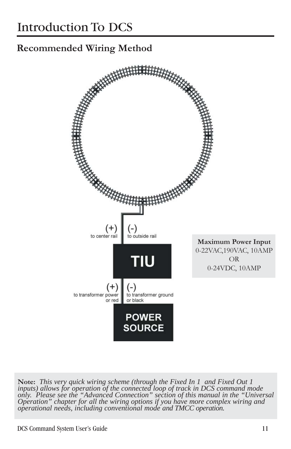#### **Recommended Wiring Method**



**Note:** *This very quick wiring scheme (through the Fixed In 1 and Fixed Out 1 inputs) allows for operation of the connected loop of track in DCS command mode only. Please see the "Advanced Connection" section of this manual in the "Universal Operation" chapter for all the wiring options if you have more complex wiring and operational needs, including conventional mode and TMCC operation.*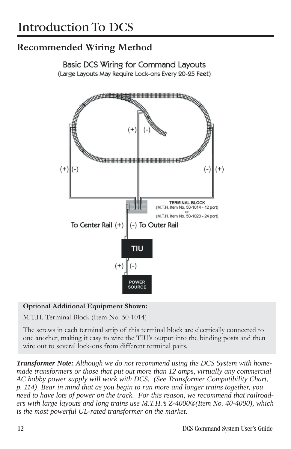#### **Recommended Wiring Method**

**Basic DCS Wiring for Command Layouts** (Large Layouts May Require Lock-ons Every 20-25 Feet)



#### **Optional Additional Equipment Shown:**

M.T.H. Terminal Block (Item No. 50-1014)

The screws in each terminal strip of this terminal block are electrically connected to one another, making it easy to wire the TIU's output into the binding posts and then wire out to several lock-ons from different terminal pairs.

*Transformer Note: Although we do not recommend using the DCS System with homemade transformers or those that put out more than 12 amps, virtually any commercial AC hobby power supply will work with DCS. (See Transformer Compatibility Chart, p. 114) Bear in mind that as you begin to run more and longer trains together, you need to have lots of power on the track. For this reason, we recommend that railroaders with large layouts and long trains use M.T.H.'s Z-4000®(Item No. 40-4000), which is the most powerful UL-rated transformer on the market.*